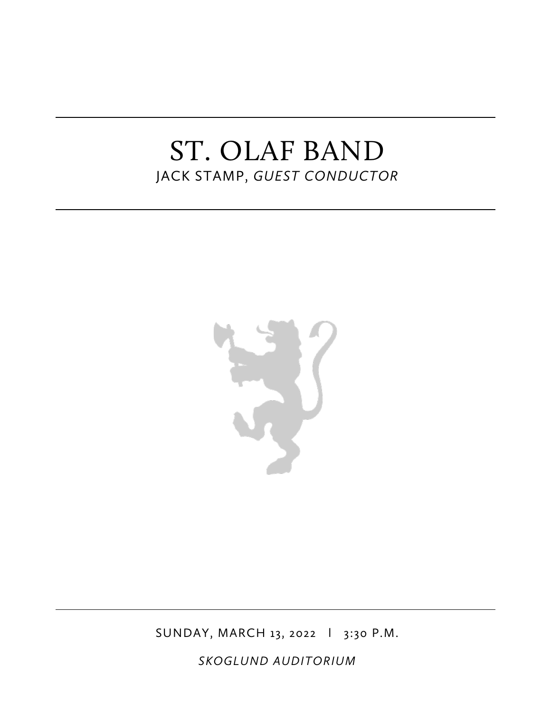# ST. OLAF BAND JACK STAMP, *GUEST CONDUCTOR*



SUNDAY, MARCH 13, 2022 l 3:30 P.M.

*SKOGLUND AUDITORIUM*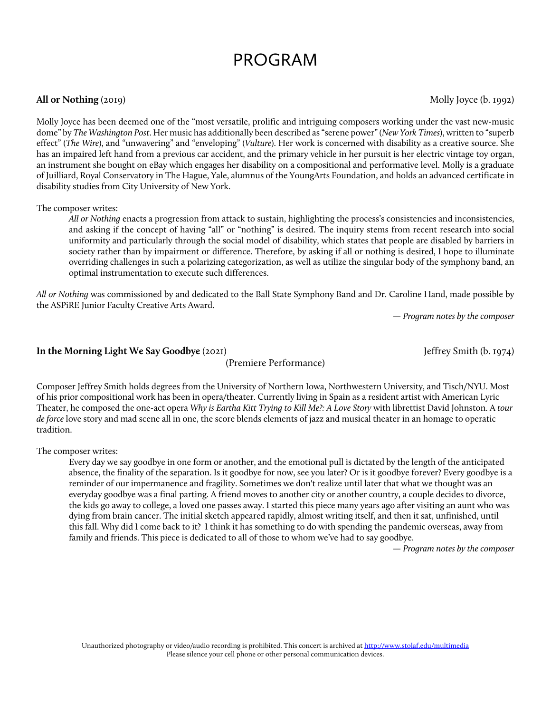# PROGRAM

### **All or Nothing** (2019) Molly Joyce (b. 1992)

Molly Joyce has been deemed one of the "most versatile, prolific and intriguing composers working under the vast new-music dome" by *The Washington Post*. Her music has additionally been described as "serene power" (*New York Times*), written to "superb effect" (*The Wire*), and "unwavering" and "enveloping" (*Vulture*). Her work is concerned with disability as a creative source. She has an impaired left hand from a previous car accident, and the primary vehicle in her pursuit is her electric vintage toy organ, an instrument she bought on eBay which engages her disability on a compositional and performative level. Molly is a graduate of Juilliard, Royal Conservatory in The Hague, Yale, alumnus of the YoungArts Foundation, and holds an advanced certificate in disability studies from City University of New York.

#### The composer writes:

*All or Nothing* enacts a progression from attack to sustain, highlighting the process's consistencies and inconsistencies, and asking if the concept of having "all" or "nothing" is desired. The inquiry stems from recent research into social uniformity and particularly through the social model of disability, which states that people are disabled by barriers in society rather than by impairment or difference. Therefore, by asking if all or nothing is desired, I hope to illuminate overriding challenges in such a polarizing categorization, as well as utilize the singular body of the symphony band, an optimal instrumentation to execute such differences.

*All or Nothing* was commissioned by and dedicated to the Ball State Symphony Band and Dr. Caroline Hand, made possible by the ASPiRE Junior Faculty Creative Arts Award.

*— Program notes by the composer*

#### **In the Morning Light We Say Goodbye** (2021) **Jeffrey Smith (b. 1974)** Jeffrey Smith (b. 1974)

(Premiere Performance)

Composer Jeffrey Smith holds degrees from the University of Northern Iowa, Northwestern University, and Tisch/NYU. Most of his prior compositional work has been in opera/theater. Currently living in Spain as a resident artist with American Lyric Theater, he composed the one-act opera *Why is Eartha Kitt Trying to Kill Me?: A Love Story* with librettist David Johnston. A *tour de force* love story and mad scene all in one, the score blends elements of jazz and musical theater in an homage to operatic tradition.

The composer writes:

Every day we say goodbye in one form or another, and the emotional pull is dictated by the length of the anticipated absence, the finality of the separation. Is it goodbye for now, see you later? Or is it goodbye forever? Every goodbye is a reminder of our impermanence and fragility. Sometimes we don't realize until later that what we thought was an everyday goodbye was a final parting. A friend moves to another city or another country, a couple decides to divorce, the kids go away to college, a loved one passes away. I started this piece many years ago after visiting an aunt who was dying from brain cancer. The initial sketch appeared rapidly, almost writing itself, and then it sat, unfinished, until this fall. Why did I come back to it? I think it has something to do with spending the pandemic overseas, away from family and friends. This piece is dedicated to all of those to whom we've had to say goodbye.

*— Program notes by the composer*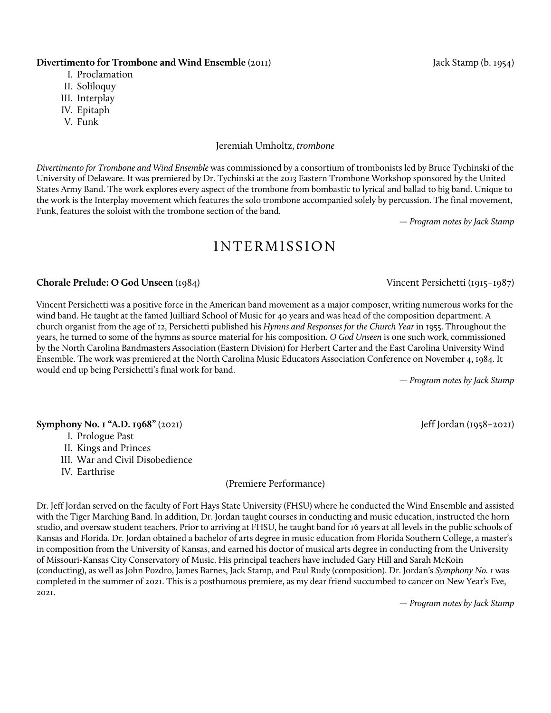#### **Divertimento for Trombone and Wind Ensemble** (2011) **Jack Stamp (b. 1954)** Jack Stamp (b. 1954)

- I. Proclamation
- II. Soliloquy
- III. Interplay
- IV. Epitaph
- V. Funk

#### Jeremiah Umholtz, *trombone*

*Divertimento for Trombone and Wind Ensemble* was commissioned by a consortium of trombonists led by Bruce Tychinski of the University of Delaware. It was premiered by Dr. Tychinski at the 2013 Eastern Trombone Workshop sponsored by the United States Army Band. The work explores every aspect of the trombone from bombastic to lyrical and ballad to big band. Unique to the work is the Interplay movement which features the solo trombone accompanied solely by percussion. The final movement, Funk, features the soloist with the trombone section of the band.

*— Program notes by Jack Stamp*

### INTERMISSION

#### **Chorale Prelude: O God Unseen** (1984) Vincent Persichetti (1915–1987)

Vincent Persichetti was a positive force in the American band movement as a major composer, writing numerous works for the wind band. He taught at the famed Juilliard School of Music for 40 years and was head of the composition department. A church organist from the age of 12, Persichetti published his *Hymns and Responses for the Church Year* in 1955. Throughout the years, he turned to some of the hymns as source material for his composition. *O God Unseen* is one such work, commissioned by the North Carolina Bandmasters Association (Eastern Division) for Herbert Carter and the East Carolina University Wind Ensemble. The work was premiered at the North Carolina Music Educators Association Conference on November 4, 1984. It would end up being Persichetti's final work for band.

*— Program notes by Jack Stamp*

### **Symphony No. 1 "A.D. 1968"** (2021) **Jeff** Jordan (1958–2021)

- I. Prologue Past
- II. Kings and Princes
- III. War and Civil Disobedience
- IV. Earthrise

#### (Premiere Performance)

Dr. Jeff Jordan served on the faculty of Fort Hays State University (FHSU) where he conducted the Wind Ensemble and assisted with the Tiger Marching Band. In addition, Dr. Jordan taught courses in conducting and music education, instructed the horn studio, and oversaw student teachers. Prior to arriving at FHSU, he taught band for 16 years at all levels in the public schools of Kansas and Florida. Dr. Jordan obtained a bachelor of arts degree in music education from Florida Southern College, a master's in composition from the University of Kansas, and earned his doctor of musical arts degree in conducting from the University of Missouri-Kansas City Conservatory of Music. His principal teachers have included Gary Hill and Sarah McKoin (conducting), as well as John Pozdro, James Barnes, Jack Stamp, and Paul Rudy (composition). Dr. Jordan's *Symphony No. 1* was completed in the summer of 2021. This is a posthumous premiere, as my dear friend succumbed to cancer on New Year's Eve, 2021.

*— Program notes by Jack Stamp*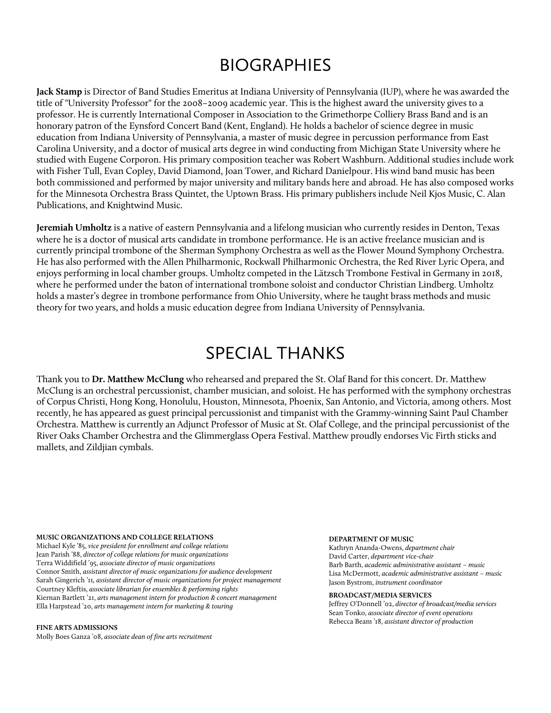# BIOGRAPHIES

**Jack Stamp** is Director of Band Studies Emeritus at Indiana University of Pennsylvania (IUP), where he was awarded the title of "University Professor" for the 2008–2009 academic year. This is the highest award the university gives to a professor. He is currently International Composer in Association to the Grimethorpe Colliery Brass Band and is an honorary patron of the Eynsford Concert Band (Kent, England). He holds a bachelor of science degree in music education from Indiana University of Pennsylvania, a master of music degree in percussion performance from East Carolina University, and a doctor of musical arts degree in wind conducting from Michigan State University where he studied with Eugene Corporon. His primary composition teacher was Robert Washburn. Additional studies include work with Fisher Tull, Evan Copley, David Diamond, Joan Tower, and Richard Danielpour. His wind band music has been both commissioned and performed by major university and military bands here and abroad. He has also composed works for the Minnesota Orchestra Brass Quintet, the Uptown Brass. His primary publishers include Neil Kjos Music, C. Alan Publications, and Knightwind Music.

**Jeremiah Umholtz** is a native of eastern Pennsylvania and a lifelong musician who currently resides in Denton, Texas where he is a doctor of musical arts candidate in trombone performance. He is an active freelance musician and is currently principal trombone of the Sherman Symphony Orchestra as well as the Flower Mound Symphony Orchestra. He has also performed with the Allen Philharmonic, Rockwall Philharmonic Orchestra, the Red River Lyric Opera, and enjoys performing in local chamber groups. Umholtz competed in the Lätzsch Trombone Festival in Germany in 2018, where he performed under the baton of international trombone soloist and conductor Christian Lindberg. Umholtz holds a master's degree in trombone performance from Ohio University, where he taught brass methods and music theory for two years, and holds a music education degree from Indiana University of Pennsylvania.

# SPECIAL THANKS

Thank you to **Dr. Matthew McClung** who rehearsed and prepared the St. Olaf Band for this concert. Dr. Matthew McClung is an orchestral percussionist, chamber musician, and soloist. He has performed with the symphony orchestras of Corpus Christi, Hong Kong, Honolulu, Houston, Minnesota, Phoenix, San Antonio, and Victoria, among others. Most recently, he has appeared as guest principal percussionist and timpanist with the Grammy-winning Saint Paul Chamber Orchestra. Matthew is currently an Adjunct Professor of Music at St. Olaf College, and the principal percussionist of the River Oaks Chamber Orchestra and the Glimmerglass Opera Festival. Matthew proudly endorses Vic Firth sticks and mallets, and Zildjian cymbals.

#### **MUSIC ORGANIZATIONS AND COLLEGE RELATIONS**

Michael Kyle '85, *vice president for enrollment and college relations* Jean Parish '88, *director of college relations for music organizations*  Terra Widdifield '95, *associate director of music organizations*  Connor Smith, *assistant director of music organizations for audience development* Sarah Gingerich '11*, assistant director of music organizations for project management* Courtney Kleftis, *associate librarian for ensembles & performing rights* Kiernan Bartlett '21, *arts management intern for production & concert management* Ella Harpstead '20, *arts management intern for marketing & touring*

#### **FINE ARTS ADMISSIONS**

Molly Boes Ganza '08, *associate dean of fine arts recruitment*

#### **DEPARTMENT OF MUSIC**

Kathryn Ananda-Owens, *department chair* David Carter, *department vice-chair* Barb Barth, *academic administrative assistant – music* Lisa McDermott, *academic administrative assistant – music*  Jason Bystrom, *instrument coordinator*

#### **BROADCAST/MEDIA SERVICES**

Jeffrey O'Donnell '02, *director of broadcast/media services* Sean Tonko, *associate director of event operations* Rebecca Beam '18, *assistant director of production*